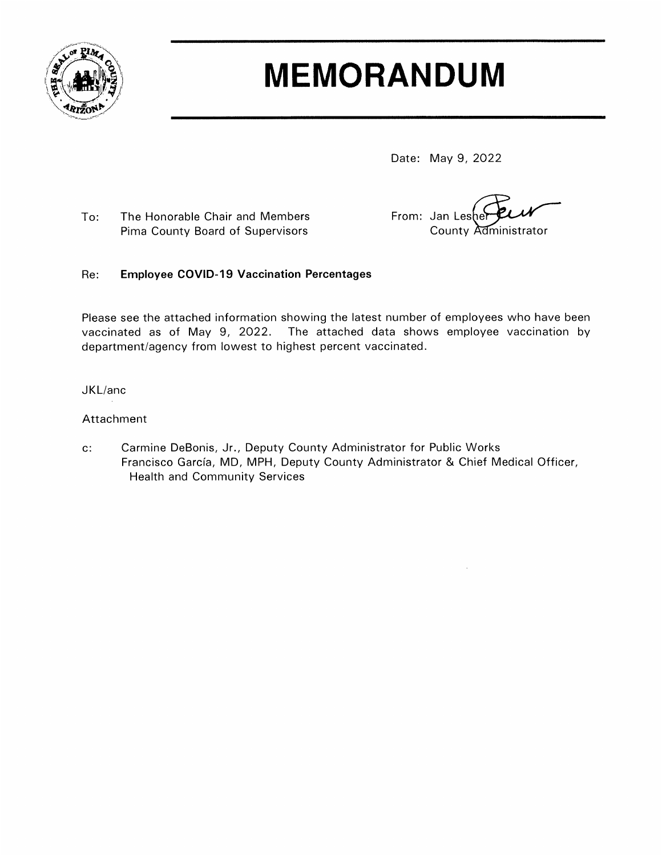

# **MEMORANDUM**

Date: May 9, 2022

To: The Honorable Chair and Members Pima County Board of Supervisors

From: Jan Leshe County Administrator

#### Re: **Employee COVID-19 Vaccination Percentages**

Please see the attached information showing the latest number of employees who have been vaccinated as of May 9, 2022. The attached data shows employee vaccination by department/agency from lowest to highest percent vaccinated.

JKL/anc

### Attachment

Carmine DeBonis, Jr., Deputy County Administrator for Public Works  $\mathbf{C}$ . Francisco García, MD, MPH, Deputy County Administrator & Chief Medical Officer, **Health and Community Services**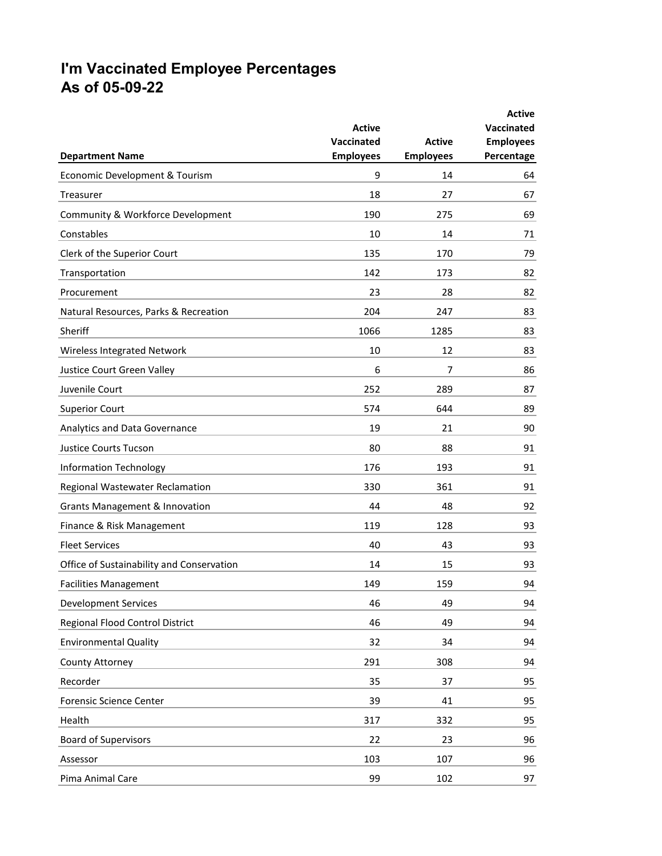## **I'm Vaccinated Employee Percentages As of 05-09-22**

| <b>Department Name</b>                    | <b>Active</b><br>Vaccinated<br><b>Employees</b> | <b>Active</b><br><b>Employees</b> | <b>Active</b><br>Vaccinated<br><b>Employees</b><br>Percentage |
|-------------------------------------------|-------------------------------------------------|-----------------------------------|---------------------------------------------------------------|
| Economic Development & Tourism            | 9                                               | 14                                | 64                                                            |
| Treasurer                                 | 18                                              | 27                                | 67                                                            |
| Community & Workforce Development         | 190                                             | 275                               | 69                                                            |
| Constables                                | 10                                              | 14                                | 71                                                            |
| Clerk of the Superior Court               | 135                                             | 170                               | 79                                                            |
| Transportation                            | 142                                             | 173                               | 82                                                            |
| Procurement                               | 23                                              | 28                                | 82                                                            |
| Natural Resources, Parks & Recreation     | 204                                             | 247                               | 83                                                            |
| Sheriff                                   | 1066                                            | 1285                              | 83                                                            |
| Wireless Integrated Network               | 10                                              | 12                                | 83                                                            |
| Justice Court Green Valley                | 6                                               | 7                                 | 86                                                            |
| Juvenile Court                            | 252                                             | 289                               | 87                                                            |
| <b>Superior Court</b>                     | 574                                             | 644                               | 89                                                            |
| Analytics and Data Governance             | 19                                              | 21                                | 90                                                            |
| <b>Justice Courts Tucson</b>              | 80                                              | 88                                | 91                                                            |
| <b>Information Technology</b>             | 176                                             | 193                               | 91                                                            |
| Regional Wastewater Reclamation           | 330                                             | 361                               | 91                                                            |
| <b>Grants Management &amp; Innovation</b> | 44                                              | 48                                | 92                                                            |
| Finance & Risk Management                 | 119                                             | 128                               | 93                                                            |
| <b>Fleet Services</b>                     | 40                                              | 43                                | 93                                                            |
| Office of Sustainability and Conservation | 14                                              | 15                                | 93                                                            |
| <b>Facilities Management</b>              | 149                                             | 159                               | 94                                                            |
| <b>Development Services</b>               | 46                                              | 49                                | 94                                                            |
| Regional Flood Control District           | 46                                              | 49                                | 94                                                            |
| <b>Environmental Quality</b>              | 32                                              | 34                                | 94                                                            |
| County Attorney                           | 291                                             | 308                               | 94                                                            |
| Recorder                                  | 35                                              | 37                                | 95                                                            |
| Forensic Science Center                   | 39                                              | 41                                | 95                                                            |
| Health                                    | 317                                             | 332                               | 95                                                            |
| <b>Board of Supervisors</b>               | 22                                              | 23                                | 96                                                            |
| Assessor                                  | 103                                             | 107                               | 96                                                            |
| Pima Animal Care                          | 99                                              | 102                               | 97                                                            |